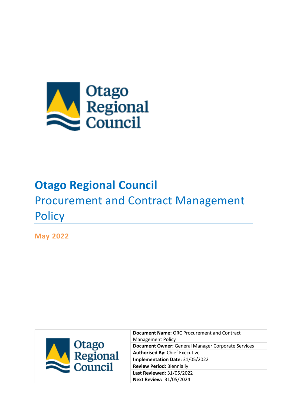

# **Otago Regional Council** Procurement and Contract Management **Policy**

**May 2022** 



**Document Name:** ORC Procurement and Contract Management Policy **Document Owner:** General Manager Corporate Services **Authorised By:** Chief Executive **Implementation Date:** 31/05/2022 **Review Period:** Biennially **Last Reviewed:** 31/05/2022 **Next Review:** 31/05/2024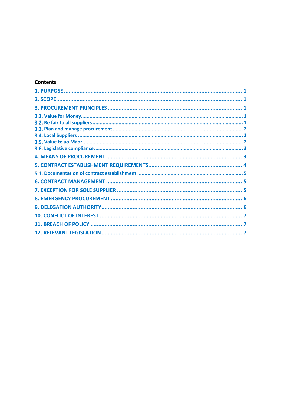### **Contents**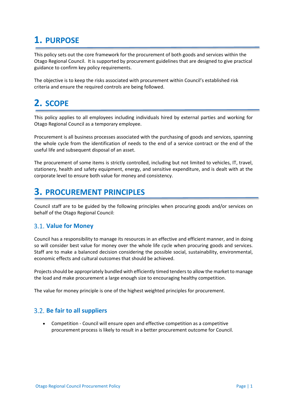# <span id="page-2-0"></span>**1. PURPOSE**

This policy sets out the core framework for the procurement of both goods and services within the Otago Regional Council. It is supported by procurement guidelines that are designed to give practical guidance to confirm key policy requirements.

The objective is to keep the risks associated with procurement within Council's established risk criteria and ensure the required controls are being followed.

# <span id="page-2-1"></span>**2. SCOPE**

This policy applies to all employees including individuals hired by external parties and working for Otago Regional Council as a temporary employee.

Procurement is all business processes associated with the purchasing of goods and services, spanning the whole cycle from the identification of needs to the end of a service contract or the end of the useful life and subsequent disposal of an asset.

The procurement of some items is strictly controlled, including but not limited to vehicles, IT, travel, stationery, health and safety equipment, energy, and sensitive expenditure, and is dealt with at the corporate level to ensure both value for money and consistency.

# <span id="page-2-2"></span>**3. PROCUREMENT PRINCIPLES**

Council staff are to be guided by the following principles when procuring goods and/or services on behalf of the Otago Regional Council:

### <span id="page-2-3"></span>**Value for Money**

Council has a responsibility to manage its resources in an effective and efficient manner, and in doing so will consider best value for money over the whole life cycle when procuring goods and services. Staff are to make a balanced decision considering the possible social, sustainability, environmental, economic effects and cultural outcomes that should be achieved.

Projects should be appropriately bundled with efficiently timed tenders to allow the market to manage the load and make procurement a large enough size to encouraging healthy competition.

The value for money principle is one of the highest weighted principles for procurement.

### <span id="page-2-4"></span>**Be fair to all suppliers**

• Competition - Council will ensure open and effective competition as a competitive procurement process is likely to result in a better procurement outcome for Council.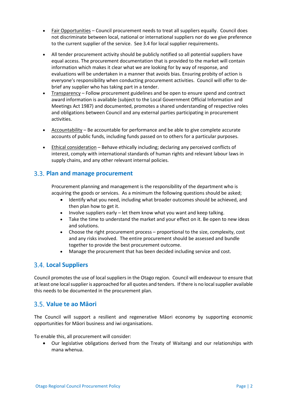- Fair Opportunities Council procurement needs to treat all suppliers equally. Council does not discriminate between local, national or international suppliers nor do we give preference to the current supplier of the service. See 3.4 for local supplier requirements.
- All tender procurement activity should be publicly notified so all potential suppliers have equal access. The procurement documentation that is provided to the market will contain information which makes it clear what we are looking for by way of response, and evaluations will be undertaken in a manner that avoids bias. Ensuring probity of action is everyone's responsibility when conducting procurement activities. Council will offer to debrief any supplier who has taking part in a tender.
- Transparency Follow procurement guidelines and be open to ensure spend and contract award information is available (subject to the Local Government Official Information and Meetings Act 1987) and documented, promotes a shared understanding of respective roles and obligations between Council and any external parties participating in procurement activities.
- Accountability Be accountable for performance and be able to give complete accurate accounts of public funds, including funds passed on to others for a particular purposes.
- Ethical consideration Behave ethically including; declaring any perceived conflicts of interest, comply with international standards of human rights and relevant labour laws in supply chains, and any other relevant internal policies.

### <span id="page-3-0"></span>**Plan and manage procurement**

Procurement planning and management is the responsibility of the department who is acquiring the goods or services. As a minimum the following questions should be asked;

- Identify what you need, including what broader outcomes should be achieved, and then plan how to get it.
- Involve suppliers early let them know what you want and keep talking.
- Take the time to understand the market and your effect on it. Be open to new ideas and solutions.
- Choose the right procurement process proportional to the size, complexity, cost and any risks involved. The entire procurement should be assessed and bundle together to provide the best procurement outcome.
- Manage the procurement that has been decided including service and cost.

### <span id="page-3-1"></span>**Local Suppliers**

Council promotes the use of local suppliers in the Otago region. Council will endeavour to ensure that at least one local supplier is approached for all quotes and tenders. If there is no local supplier available this needs to be documented in the procurement plan.

### <span id="page-3-2"></span>**Value te ao Māori**

The Council will support a resilient and regenerative Māori economy by supporting economic opportunities for Māori business and iwi organisations.

To enable this, all procurement will consider:

• Our legislative obligations derived from the Treaty of Waitangi and our relationships with mana whenua.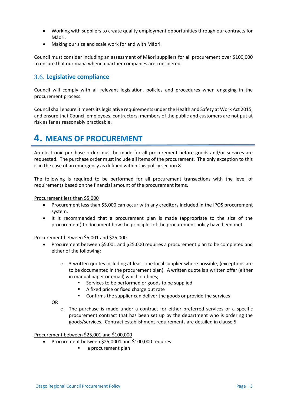- Working with suppliers to create quality employment opportunities through our contracts for Māori.
- Making our size and scale work for and with Māori.

Council must consider including an assessment of Māori suppliers for all procurement over \$100,000 to ensure that our mana whenua partner companies are considered.

### <span id="page-4-0"></span>**Legislative compliance**

Council will comply with all relevant legislation, policies and procedures when engaging in the procurement process.

Council shall ensure it meets its legislative requirements under the Health and Safety at Work Act 2015, and ensure that Council employees, contractors, members of the public and customers are not put at risk as far as reasonably practicable.

### <span id="page-4-1"></span>**4. MEANS OF PROCUREMENT**

An electronic purchase order must be made for all procurement before goods and/or services are requested. The purchase order must include all items of the procurement. The only exception to this is in the case of an emergency as defined within this policy section 8.

The following is required to be performed for all procurement transactions with the level of requirements based on the financial amount of the procurement items.

Procurement less than \$5,000

- Procurement less than \$5,000 can occur with any creditors included in the IPOS procurement system.
- It is recommended that a procurement plan is made (appropriate to the size of the procurement) to document how the principles of the procurement policy have been met.

Procurement between \$5,001 and \$25,000

- Procurement between \$5,001 and \$25,000 requires a procurement plan to be completed and either of the following:
	- $\circ$  3 written quotes including at least one local supplier where possible, (exceptions are to be documented in the procurement plan). A written quote is a written offer (either in manual paper or email) which outlines;
		- Services to be performed or goods to be supplied
		- A fixed price or fixed charge out rate
		- **EXECONFIRM** Confirms the supplier can deliver the goods or provide the services

OR

 $\circ$  The purchase is made under a contract for either preferred services or a specific procurement contract that has been set up by the department who is ordering the goods/services. Contract establishment requirements are detailed in clause 5.

#### Procurement between \$25,001 and \$100,000

- Procurement between \$25,0001 and \$100,000 requires:
	- **a** procurement plan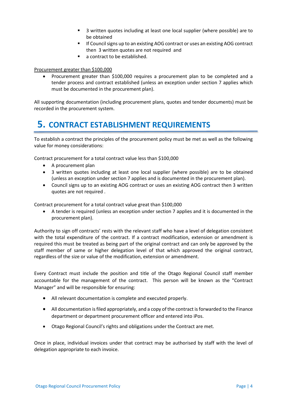- 3 written quotes including at least one local supplier (where possible) are to be obtained
- **If Council signs up to an existing AOG contract or uses an existing AOG contract** then 3 written quotes are not required and
- a contract to be established.

#### Procurement greater than \$100,000

• Procurement greater than \$100,000 requires a procurement plan to be completed and a tender process and contract established (unless an exception under section 7 applies which must be documented in the procurement plan).

All supporting documentation (including procurement plans, quotes and tender documents) must be recorded in the procurement system.

### <span id="page-5-0"></span>**5. CONTRACT ESTABLISHMENT REQUIREMENTS**

To establish a contract the principles of the procurement policy must be met as well as the following value for money considerations:

Contract procurement for a total contract value less than \$100,000

- A procurement plan
- 3 written quotes including at least one local supplier (where possible) are to be obtained (unless an exception under section 7 applies and is documented in the procurement plan).
- Council signs up to an existing AOG contract or uses an existing AOG contract then 3 written quotes are not required .

Contract procurement for a total contract value great than \$100,000

• A tender is required (unless an exception under section 7 applies and it is documented in the procurement plan).

Authority to sign off contracts' rests with the relevant staff who have a level of delegation consistent with the total expenditure of the contract. If a contract modification, extension or amendment is required this must be treated as being part of the original contract and can only be approved by the staff member of same or higher delegation level of that which approved the original contract, regardless of the size or value of the modification, extension or amendment.

Every Contract must include the position and title of the Otago Regional Council staff member accountable for the management of the contract. This person will be known as the "Contract Manager" and will be responsible for ensuring:

- All relevant documentation is complete and executed properly.
- All documentation is filed appropriately, and a copy of the contract is forwarded to the Finance department or department procurement officer and entered into iPos.
- Otago Regional Council's rights and obligations under the Contract are met.

Once in place, individual invoices under that contract may be authorised by staff with the level of delegation appropriate to each invoice.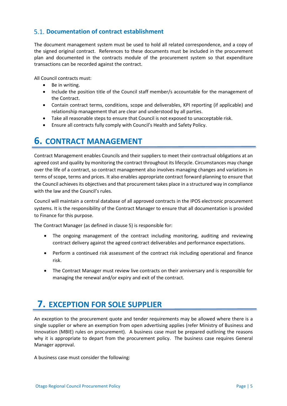### <span id="page-6-0"></span>**Documentation of contract establishment**

The document management system must be used to hold all related correspondence, and a copy of the signed original contract. References to these documents must be included in the procurement plan and documented in the contracts module of the procurement system so that expenditure transactions can be recorded against the contract.

All Council contracts must:

- Be in writing.
- Include the position title of the Council staff member/s accountable for the management of the Contract.
- Contain contract terms, conditions, scope and deliverables, KPI reporting (if applicable) and relationship management that are clear and understood by all parties.
- Take all reasonable steps to ensure that Council is not exposed to unacceptable risk.
- Ensure all contracts fully comply with Council's Health and Safety Policy.

### <span id="page-6-1"></span>**6. CONTRACT MANAGEMENT**

Contract Management enables Councils and their suppliers to meet their contractual obligations at an agreed cost and quality by monitoring the contract throughout its lifecycle. Circumstances may change over the life of a contract, so contract management also involves managing changes and variations in terms of scope, terms and prices. It also enables appropriate contract forward planning to ensure that the Council achieves its objectives and that procurement takes place in a structured way in compliance with the law and the Council's rules.

Council will maintain a central database of all approved contracts in the IPOS electronic procurement systems. It is the responsibility of the Contract Manager to ensure that all documentation is provided to Finance for this purpose.

The Contract Manager (as defined in clause 5) is responsible for:

- The ongoing management of the contract including monitoring, auditing and reviewing contract delivery against the agreed contract deliverables and performance expectations.
- Perform a continued risk assessment of the contract risk including operational and finance risk.
- The Contract Manager must review live contracts on their anniversary and is responsible for managing the renewal and/or expiry and exit of the contract.

# <span id="page-6-2"></span>**7. EXCEPTION FOR SOLE SUPPLIER**

An exception to the procurement quote and tender requirements may be allowed where there is a single supplier or where an exemption from open advertising applies (refer Ministry of Business and Innovation (MBIE) rules on procurement). A business case must be prepared outlining the reasons why it is appropriate to depart from the procurement policy. The business case requires General Manager approval.

A business case must consider the following: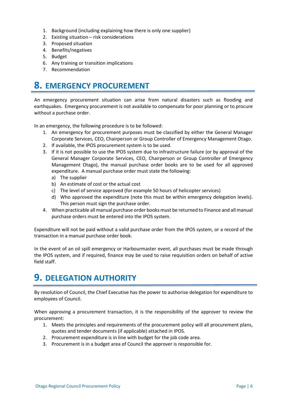- 1. Background (including explaining how there is only one supplier)
- 2. Existing situation risk considerations
- 3. Proposed situation
- 4. Benefits/negatives
- 5. Budget
- 6. Any training or transition implications
- 7. Recommendation

# <span id="page-7-0"></span>**8. EMERGENCY PROCUREMENT**

An emergency procurement situation can arise from natural disasters such as flooding and earthquakes. Emergency procurement is not available to compensate for poor planning or to procure without a purchase order.

In an emergency, the following procedure is to be followed:

- 1. An emergency for procurement purposes must be classified by either the General Manager Corporate Services, CEO, Chairperson or Group Controller of Emergency Management Otago.
- 2. If available, the IPOS procurement system is to be used.
- 3. If it is not possible to use the IPOS system due to infrastructure failure (or by approval of the General Manager Corporate Services, CEO, Chairperson or Group Controller of Emergency Management Otago), the manual purchase order books are to be used for all approved expenditure. A manual purchase order must state the following:
	- a) The supplier
	- b) An estimate of cost or the actual cost
	- c) The level of service approved (for example 50 hours of helicopter services)
	- d) Who approved the expenditure (note this must be within emergency delegation levels). This person must sign the purchase order.
- 4. When practicable all manual purchase order books must be returned to Finance and all manual purchase orders must be entered into the IPOS system.

Expenditure will not be paid without a valid purchase order from the IPOS system, or a record of the transaction in a manual purchase order book.

In the event of an oil spill emergency or Harbourmaster event, all purchases must be made through the IPOS system, and if required, finance may be used to raise requisition orders on behalf of active field staff.

### <span id="page-7-1"></span>**9. DELEGATION AUTHORITY**

By resolution of Council, the Chief Executive has the power to authorise delegation for expenditure to employees of Council.

When approving a procurement transaction, it is the responsibility of the approver to review the procurement:

- 1. Meets the principles and requirements of the procurement policy will all procurement plans, quotes and tender documents (if applicable) attached in IPOS.
- 2. Procurement expenditure is in line with budget for the job code area.
- 3. Procurement is in a budget area of Council the approver is responsible for.